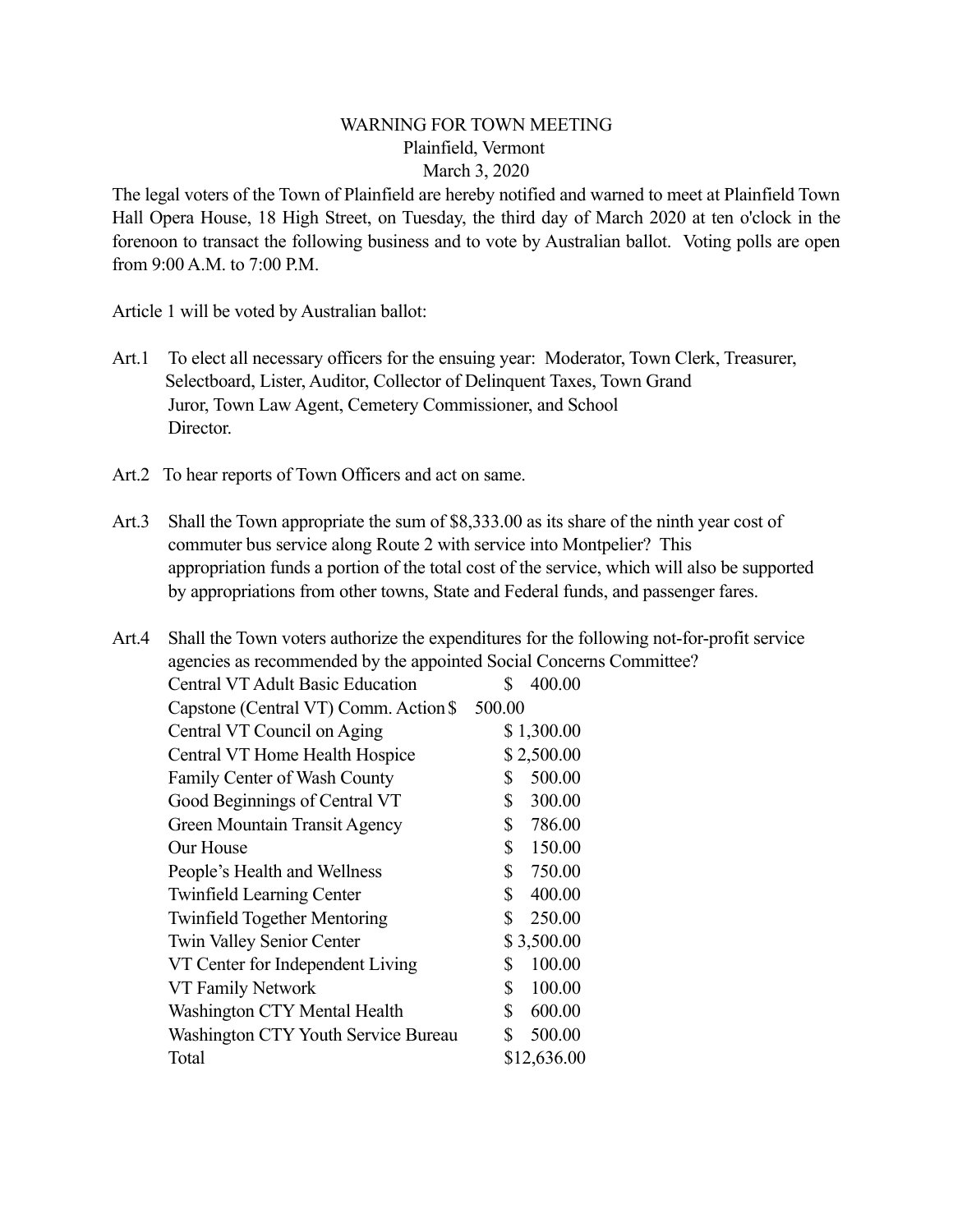## WARNING FOR TOWN MEETING Plainfield, Vermont March 3, 2020

The legal voters of the Town of Plainfield are hereby notified and warned to meet at Plainfield Town Hall Opera House, 18 High Street, on Tuesday, the third day of March 2020 at ten o'clock in the forenoon to transact the following business and to vote by Australian ballot. Voting polls are open from 9:00 A.M. to 7:00 P.M.

Article 1 will be voted by Australian ballot:

- Art.1 To elect all necessary officers for the ensuing year: Moderator, Town Clerk, Treasurer, Selectboard, Lister, Auditor, Collector of Delinquent Taxes, Town Grand Juror, Town Law Agent, Cemetery Commissioner, and School Director.
- Art.2 To hear reports of Town Officers and act on same.
- Art.3 Shall the Town appropriate the sum of \$8,333.00 as its share of the ninth year cost of commuter bus service along Route 2 with service into Montpelier? This appropriation funds a portion of the total cost of the service, which will also be supported by appropriations from other towns, State and Federal funds, and passenger fares.

| Art.4 |                                                                     | Shall the Town voters authorize the expenditures for the following not-for-profit service |
|-------|---------------------------------------------------------------------|-------------------------------------------------------------------------------------------|
|       | agencies as recommended by the appointed Social Concerns Committee? |                                                                                           |
|       | <b>Central VT Adult Basic Education</b>                             | 400.00<br>S                                                                               |
|       | Capstone (Central VT) Comm. Action \$                               | 500.00                                                                                    |
|       | Central VT Council on Aging                                         | \$1,300.00                                                                                |
|       | Central VT Home Health Hospice                                      | \$2,500.00                                                                                |
|       | Family Center of Wash County                                        | 500.00<br>S                                                                               |
|       | Good Beginnings of Central VT                                       | 300.00<br>\$                                                                              |
|       | Green Mountain Transit Agency                                       | 786.00<br>\$                                                                              |
|       | Our House                                                           | 150.00<br>S                                                                               |
|       | People's Health and Wellness                                        | 750.00<br>\$                                                                              |
|       | <b>Twinfield Learning Center</b>                                    | 400.00<br>\$                                                                              |
|       | <b>Twinfield Together Mentoring</b>                                 | 250.00<br>S                                                                               |
|       | <b>Twin Valley Senior Center</b>                                    | \$3,500.00                                                                                |
|       | VT Center for Independent Living                                    | 100.00<br>S                                                                               |
|       | VT Family Network                                                   | 100.00<br>\$                                                                              |
|       | Washington CTY Mental Health                                        | 600.00<br>\$                                                                              |
|       | Washington CTY Youth Service Bureau                                 | 500.00<br>\$                                                                              |
|       | Total                                                               | \$12,636.00                                                                               |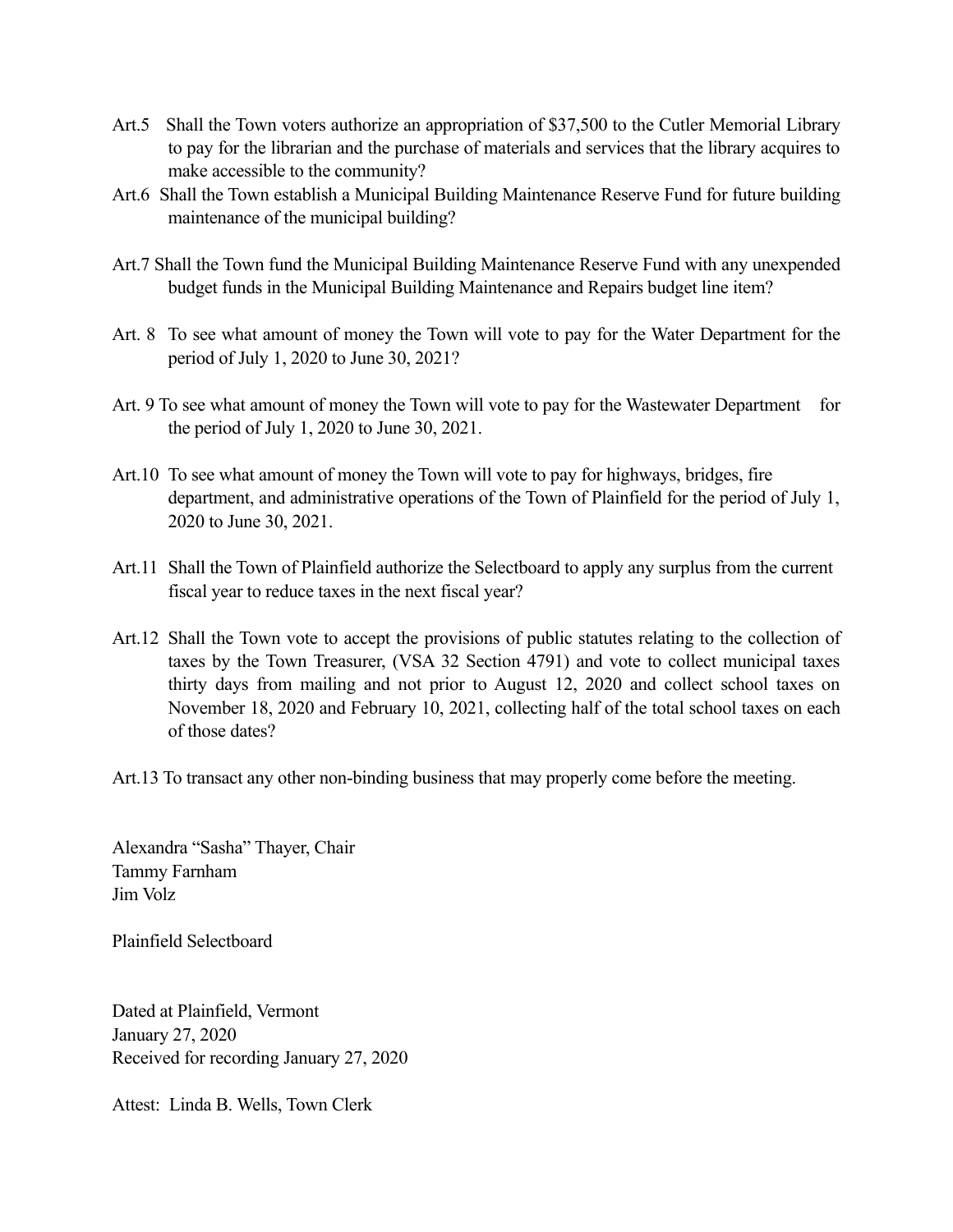- Art.5 Shall the Town voters authorize an appropriation of \$37,500 to the Cutler Memorial Library to pay for the librarian and the purchase of materials and services that the library acquires to make accessible to the community?
- Art.6 Shall the Town establish a Municipal Building Maintenance Reserve Fund for future building maintenance of the municipal building?
- Art.7 Shall the Town fund the Municipal Building Maintenance Reserve Fund with any unexpended budget funds in the Municipal Building Maintenance and Repairs budget line item?
- Art. 8 To see what amount of money the Town will vote to pay for the Water Department for the period of July 1, 2020 to June 30, 2021?
- Art. 9 To see what amount of money the Town will vote to pay for the Wastewater Department for the period of July 1, 2020 to June 30, 2021.
- Art.10 To see what amount of money the Town will vote to pay for highways, bridges, fire department, and administrative operations of the Town of Plainfield for the period of July 1, 2020 to June 30, 2021.
- Art.11 Shall the Town of Plainfield authorize the Selectboard to apply any surplus from the current fiscal year to reduce taxes in the next fiscal year?
- Art.12 Shall the Town vote to accept the provisions of public statutes relating to the collection of taxes by the Town Treasurer, (VSA 32 Section 4791) and vote to collect municipal taxes thirty days from mailing and not prior to August 12, 2020 and collect school taxes on November 18, 2020 and February 10, 2021, collecting half of the total school taxes on each of those dates?
- Art.13 To transact any other non-binding business that may properly come before the meeting.

Alexandra "Sasha" Thayer, Chair Tammy Farnham Jim Volz

Plainfield Selectboard

Dated at Plainfield, Vermont January 27, 2020 Received for recording January 27, 2020

Attest: Linda B. Wells, Town Clerk